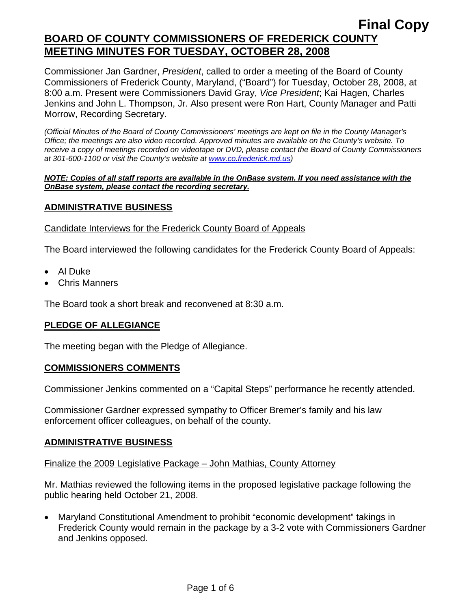Commissioner Jan Gardner, *President*, called to order a meeting of the Board of County Commissioners of Frederick County, Maryland, ("Board") for Tuesday, October 28, 2008, at 8:00 a.m. Present were Commissioners David Gray, *Vice President*; Kai Hagen, Charles Jenkins and John L. Thompson, Jr. Also present were Ron Hart, County Manager and Patti Morrow, Recording Secretary.

*(Official Minutes of the Board of County Commissioners' meetings are kept on file in the County Manager's Office; the meetings are also video recorded. Approved minutes are available on the County's website. To receive a copy of meetings recorded on videotape or DVD, please contact the Board of County Commissioners at 301-600-1100 or visit the County's website at [www.co.frederick.md.us\)](http://www.co.frederick.md.us/)* 

#### *NOTE: Copies of all staff reports are available in the OnBase system. If you need assistance with the OnBase system, please contact the recording secretary.*

## **ADMINISTRATIVE BUSINESS**

### Candidate Interviews for the Frederick County Board of Appeals

The Board interviewed the following candidates for the Frederick County Board of Appeals:

- Al Duke
- Chris Manners

The Board took a short break and reconvened at 8:30 a.m.

## **PLEDGE OF ALLEGIANCE**

The meeting began with the Pledge of Allegiance.

### **COMMISSIONERS COMMENTS**

Commissioner Jenkins commented on a "Capital Steps" performance he recently attended.

Commissioner Gardner expressed sympathy to Officer Bremer's family and his law enforcement officer colleagues, on behalf of the county.

### **ADMINISTRATIVE BUSINESS**

#### Finalize the 2009 Legislative Package – John Mathias, County Attorney

Mr. Mathias reviewed the following items in the proposed legislative package following the public hearing held October 21, 2008.

• Maryland Constitutional Amendment to prohibit "economic development" takings in Frederick County would remain in the package by a 3-2 vote with Commissioners Gardner and Jenkins opposed.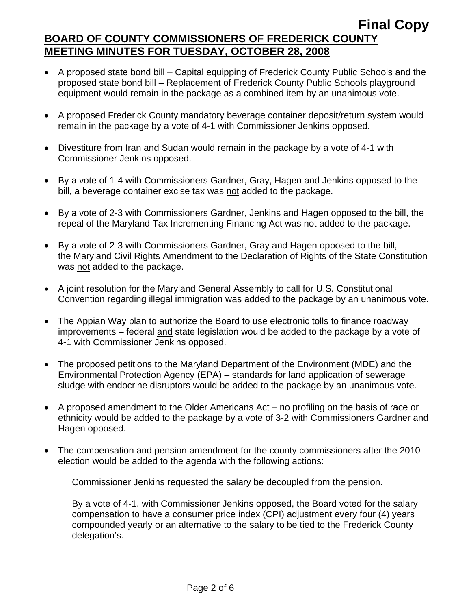- A proposed state bond bill Capital equipping of Frederick County Public Schools and the proposed state bond bill – Replacement of Frederick County Public Schools playground equipment would remain in the package as a combined item by an unanimous vote.
- A proposed Frederick County mandatory beverage container deposit/return system would remain in the package by a vote of 4-1 with Commissioner Jenkins opposed.
- Divestiture from Iran and Sudan would remain in the package by a vote of 4-1 with Commissioner Jenkins opposed.
- By a vote of 1-4 with Commissioners Gardner, Gray, Hagen and Jenkins opposed to the bill, a beverage container excise tax was not added to the package.
- By a vote of 2-3 with Commissioners Gardner, Jenkins and Hagen opposed to the bill, the repeal of the Maryland Tax Incrementing Financing Act was not added to the package.
- By a vote of 2-3 with Commissioners Gardner, Gray and Hagen opposed to the bill, the Maryland Civil Rights Amendment to the Declaration of Rights of the State Constitution was not added to the package.
- A joint resolution for the Maryland General Assembly to call for U.S. Constitutional Convention regarding illegal immigration was added to the package by an unanimous vote.
- The Appian Way plan to authorize the Board to use electronic tolls to finance roadway improvements – federal and state legislation would be added to the package by a vote of 4-1 with Commissioner Jenkins opposed.
- The proposed petitions to the Maryland Department of the Environment (MDE) and the Environmental Protection Agency (EPA) – standards for land application of sewerage sludge with endocrine disruptors would be added to the package by an unanimous vote.
- A proposed amendment to the Older Americans Act no profiling on the basis of race or ethnicity would be added to the package by a vote of 3-2 with Commissioners Gardner and Hagen opposed.
- The compensation and pension amendment for the county commissioners after the 2010 election would be added to the agenda with the following actions:

Commissioner Jenkins requested the salary be decoupled from the pension.

By a vote of 4-1, with Commissioner Jenkins opposed, the Board voted for the salary compensation to have a consumer price index (CPI) adjustment every four (4) years compounded yearly or an alternative to the salary to be tied to the Frederick County delegation's.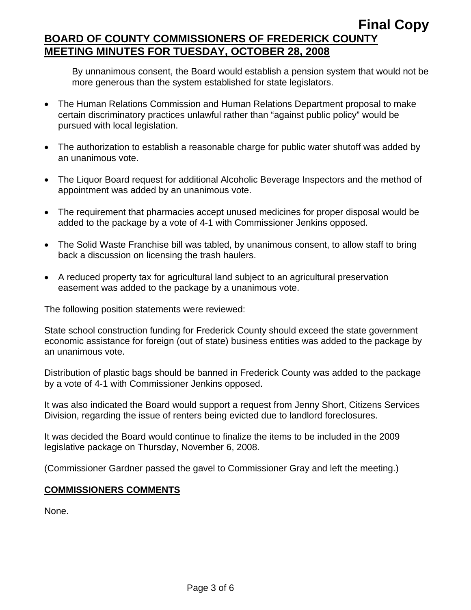By unnanimous consent, the Board would establish a pension system that would not be more generous than the system established for state legislators.

- The Human Relations Commission and Human Relations Department proposal to make certain discriminatory practices unlawful rather than "against public policy" would be pursued with local legislation.
- The authorization to establish a reasonable charge for public water shutoff was added by an unanimous vote.
- The Liquor Board request for additional Alcoholic Beverage Inspectors and the method of appointment was added by an unanimous vote.
- The requirement that pharmacies accept unused medicines for proper disposal would be added to the package by a vote of 4-1 with Commissioner Jenkins opposed.
- The Solid Waste Franchise bill was tabled, by unanimous consent, to allow staff to bring back a discussion on licensing the trash haulers.
- A reduced property tax for agricultural land subject to an agricultural preservation easement was added to the package by a unanimous vote.

The following position statements were reviewed:

State school construction funding for Frederick County should exceed the state government economic assistance for foreign (out of state) business entities was added to the package by an unanimous vote.

Distribution of plastic bags should be banned in Frederick County was added to the package by a vote of 4-1 with Commissioner Jenkins opposed.

It was also indicated the Board would support a request from Jenny Short, Citizens Services Division, regarding the issue of renters being evicted due to landlord foreclosures.

It was decided the Board would continue to finalize the items to be included in the 2009 legislative package on Thursday, November 6, 2008.

(Commissioner Gardner passed the gavel to Commissioner Gray and left the meeting.)

### **COMMISSIONERS COMMENTS**

None.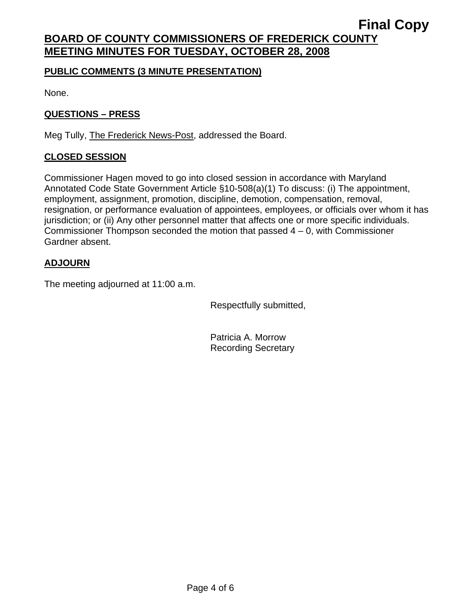### **PUBLIC COMMENTS (3 MINUTE PRESENTATION)**

None.

## **QUESTIONS – PRESS**

Meg Tully, The Frederick News-Post, addressed the Board.

## **CLOSED SESSION**

Commissioner Hagen moved to go into closed session in accordance with Maryland Annotated Code State Government Article §10-508(a)(1) To discuss: (i) The appointment, employment, assignment, promotion, discipline, demotion, compensation, removal, resignation, or performance evaluation of appointees, employees, or officials over whom it has jurisdiction; or (ii) Any other personnel matter that affects one or more specific individuals. Commissioner Thompson seconded the motion that passed  $4 - 0$ , with Commissioner Gardner absent.

## **ADJOURN**

The meeting adjourned at 11:00 a.m.

Respectfully submitted,

Patricia A. Morrow Recording Secretary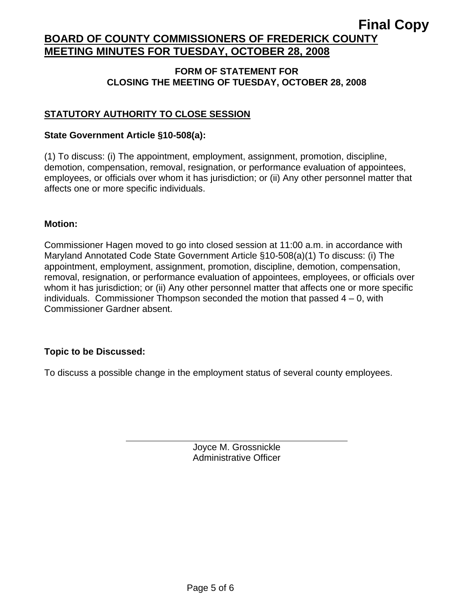### **FORM OF STATEMENT FOR CLOSING THE MEETING OF TUESDAY, OCTOBER 28, 2008**

## **STATUTORY AUTHORITY TO CLOSE SESSION**

### **State Government Article §10-508(a):**

(1) To discuss: (i) The appointment, employment, assignment, promotion, discipline, demotion, compensation, removal, resignation, or performance evaluation of appointees, employees, or officials over whom it has jurisdiction; or (ii) Any other personnel matter that affects one or more specific individuals.

### **Motion:**

Commissioner Hagen moved to go into closed session at 11:00 a.m. in accordance with Maryland Annotated Code State Government Article §10-508(a)(1) To discuss: (i) The appointment, employment, assignment, promotion, discipline, demotion, compensation, removal, resignation, or performance evaluation of appointees, employees, or officials over whom it has jurisdiction; or (ii) Any other personnel matter that affects one or more specific individuals. Commissioner Thompson seconded the motion that passed  $4 - 0$ , with Commissioner Gardner absent.

### **Topic to be Discussed:**

 $\overline{a}$ 

To discuss a possible change in the employment status of several county employees.

Joyce M. Grossnickle Administrative Officer